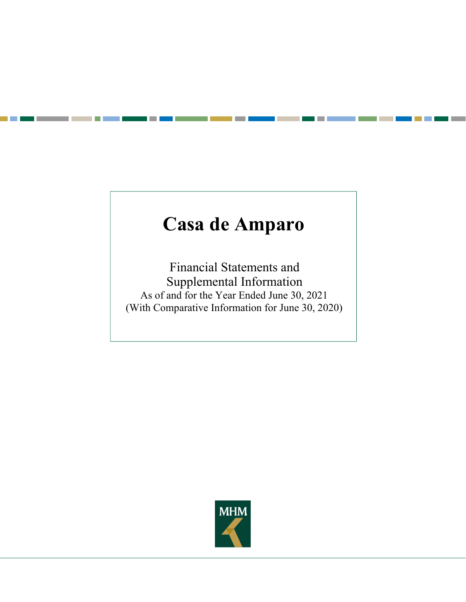Financial Statements and Supplemental Information As of and for the Year Ended June 30, 2021 (With Comparative Information for June 30, 2020)

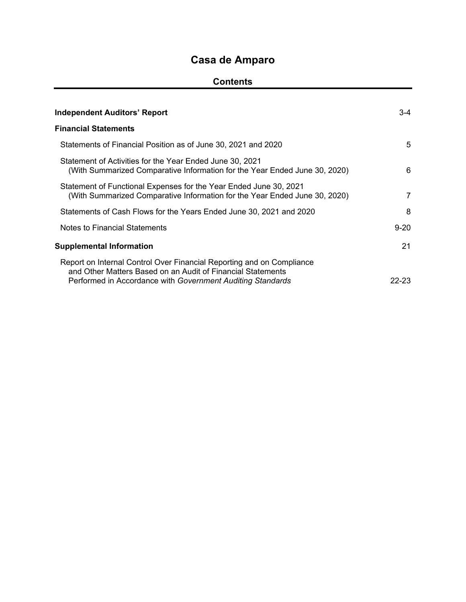# **Contents**

| <b>Independent Auditors' Report</b>                                                                                                                                                                | 3-4            |
|----------------------------------------------------------------------------------------------------------------------------------------------------------------------------------------------------|----------------|
| <b>Financial Statements</b>                                                                                                                                                                        |                |
| Statements of Financial Position as of June 30, 2021 and 2020                                                                                                                                      | 5              |
| Statement of Activities for the Year Ended June 30, 2021<br>(With Summarized Comparative Information for the Year Ended June 30, 2020)                                                             | 6              |
| Statement of Functional Expenses for the Year Ended June 30, 2021<br>(With Summarized Comparative Information for the Year Ended June 30, 2020)                                                    | $\overline{7}$ |
| Statements of Cash Flows for the Years Ended June 30, 2021 and 2020                                                                                                                                | 8              |
| Notes to Financial Statements                                                                                                                                                                      | $9 - 20$       |
| <b>Supplemental Information</b>                                                                                                                                                                    | 21             |
| Report on Internal Control Over Financial Reporting and on Compliance<br>and Other Matters Based on an Audit of Financial Statements<br>Performed in Accordance with Government Auditing Standards | 22-23          |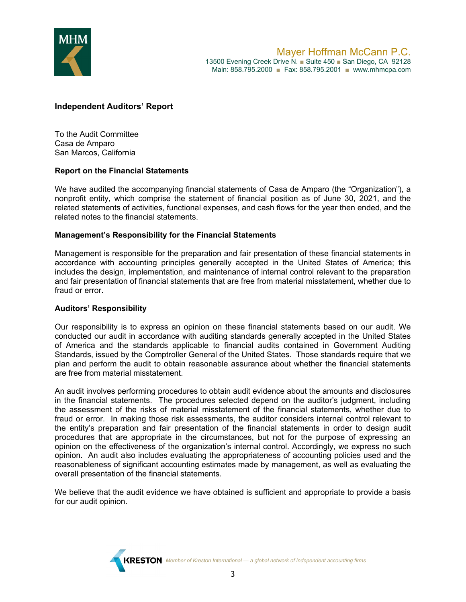

13500 Evening Creek Drive N. ■ Suite 450 ■ San Diego, CA 92128 Main: 858.795.2000 ■ Fax: 858.795.2001 ■ www.mhmcpa.com

# **Independent Auditors' Report**

To the Audit Committee Casa de Amparo San Marcos, California

# **Report on the Financial Statements**

We have audited the accompanying financial statements of Casa de Amparo (the "Organization"), a nonprofit entity, which comprise the statement of financial position as of June 30, 2021, and the related statements of activities, functional expenses, and cash flows for the year then ended, and the related notes to the financial statements.

# **Management's Responsibility for the Financial Statements**

Management is responsible for the preparation and fair presentation of these financial statements in accordance with accounting principles generally accepted in the United States of America; this includes the design, implementation, and maintenance of internal control relevant to the preparation and fair presentation of financial statements that are free from material misstatement, whether due to fraud or error.

#### **Auditors' Responsibility**

Our responsibility is to express an opinion on these financial statements based on our audit. We conducted our audit in accordance with auditing standards generally accepted in the United States of America and the standards applicable to financial audits contained in Government Auditing Standards, issued by the Comptroller General of the United States. Those standards require that we plan and perform the audit to obtain reasonable assurance about whether the financial statements are free from material misstatement.

An audit involves performing procedures to obtain audit evidence about the amounts and disclosures in the financial statements. The procedures selected depend on the auditor's judgment, including the assessment of the risks of material misstatement of the financial statements, whether due to fraud or error. In making those risk assessments, the auditor considers internal control relevant to the entity's preparation and fair presentation of the financial statements in order to design audit procedures that are appropriate in the circumstances, but not for the purpose of expressing an opinion on the effectiveness of the organization's internal control. Accordingly, we express no such opinion. An audit also includes evaluating the appropriateness of accounting policies used and the reasonableness of significant accounting estimates made by management, as well as evaluating the overall presentation of the financial statements.

We believe that the audit evidence we have obtained is sufficient and appropriate to provide a basis for our audit opinion.

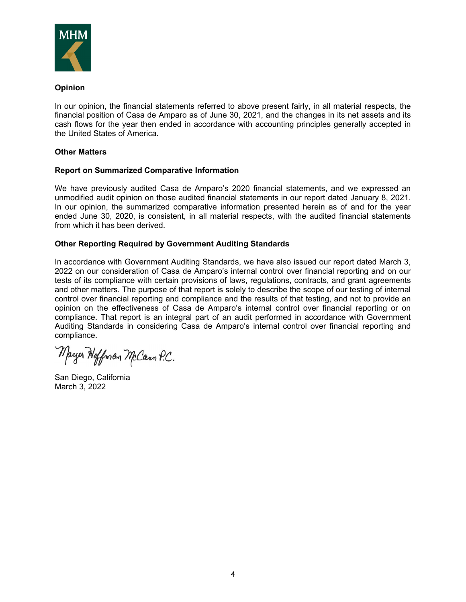

# **Opinion**

In our opinion, the financial statements referred to above present fairly, in all material respects, the financial position of Casa de Amparo as of June 30, 2021, and the changes in its net assets and its cash flows for the year then ended in accordance with accounting principles generally accepted in the United States of America.

# **Other Matters**

# **Report on Summarized Comparative Information**

We have previously audited Casa de Amparo's 2020 financial statements, and we expressed an unmodified audit opinion on those audited financial statements in our report dated January 8, 2021. In our opinion, the summarized comparative information presented herein as of and for the year ended June 30, 2020, is consistent, in all material respects, with the audited financial statements from which it has been derived.

# **Other Reporting Required by Government Auditing Standards**

In accordance with Government Auditing Standards, we have also issued our report dated March 3, 2022 on our consideration of Casa de Amparo's internal control over financial reporting and on our tests of its compliance with certain provisions of laws, regulations, contracts, and grant agreements and other matters. The purpose of that report is solely to describe the scope of our testing of internal control over financial reporting and compliance and the results of that testing, and not to provide an opinion on the effectiveness of Casa de Amparo's internal control over financial reporting or on compliance. That report is an integral part of an audit performed in accordance with Government Auditing Standards in considering Casa de Amparo's internal control over financial reporting and compliance.

Mayer Hoffman McCann P.C.

San Diego, California March 3, 2022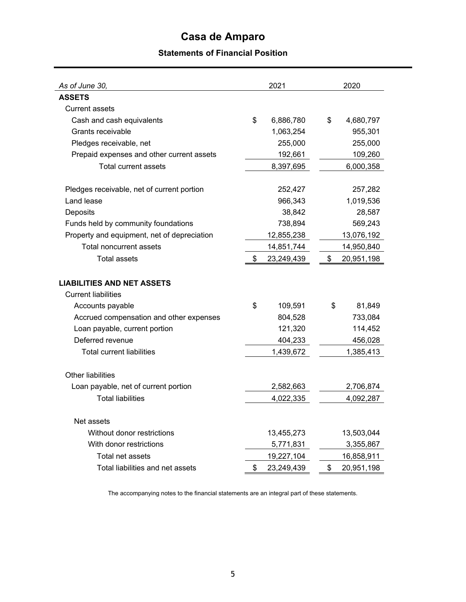# **Statements of Financial Position**

| As of June 30,                              | 2021             | 2020             |
|---------------------------------------------|------------------|------------------|
| <b>ASSETS</b>                               |                  |                  |
| <b>Current assets</b>                       |                  |                  |
| Cash and cash equivalents                   | \$<br>6,886,780  | \$<br>4,680,797  |
| Grants receivable                           | 1,063,254        | 955,301          |
| Pledges receivable, net                     | 255,000          | 255,000          |
| Prepaid expenses and other current assets   | 192,661          | 109,260          |
| <b>Total current assets</b>                 | 8,397,695        | 6,000,358        |
| Pledges receivable, net of current portion  | 252,427          | 257,282          |
| Land lease                                  | 966,343          | 1,019,536        |
| Deposits                                    | 38,842           | 28,587           |
| Funds held by community foundations         | 738,894          | 569,243          |
| Property and equipment, net of depreciation | 12,855,238       | 13,076,192       |
| <b>Total noncurrent assets</b>              | 14,851,744       | 14,950,840       |
| Total assets                                | \$<br>23,249,439 | \$<br>20,951,198 |
| <b>LIABILITIES AND NET ASSETS</b>           |                  |                  |
| <b>Current liabilities</b>                  |                  |                  |
| Accounts payable                            | \$<br>109,591    | \$<br>81,849     |
| Accrued compensation and other expenses     | 804,528          | 733,084          |
| Loan payable, current portion               | 121,320          | 114,452          |
| Deferred revenue                            | 404,233          | 456,028          |
| <b>Total current liabilities</b>            | 1,439,672        | 1,385,413        |
| <b>Other liabilities</b>                    |                  |                  |
| Loan payable, net of current portion        | 2,582,663        | 2,706,874        |
| <b>Total liabilities</b>                    | 4,022,335        | 4,092,287        |
| Net assets                                  |                  |                  |
| Without donor restrictions                  | 13,455,273       | 13,503,044       |
| With donor restrictions                     | 5,771,831        | 3,355,867        |
| Total net assets                            | 19,227,104       | 16,858,911       |
| Total liabilities and net assets            | \$<br>23,249,439 | \$<br>20,951,198 |

The accompanying notes to the financial statements are an integral part of these statements.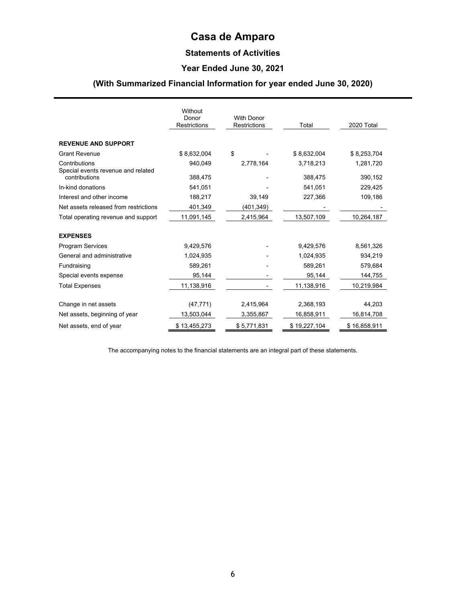# **Statements of Activities**

# **Year Ended June 30, 2021**

# **(With Summarized Financial Information for year ended June 30, 2020)**

|                                                     | Without<br>Donor<br>Restrictions | <b>With Donor</b><br><b>Restrictions</b> | Total        | 2020 Total   |
|-----------------------------------------------------|----------------------------------|------------------------------------------|--------------|--------------|
| <b>REVENUE AND SUPPORT</b>                          |                                  |                                          |              |              |
| <b>Grant Revenue</b>                                | \$8,632,004                      | \$                                       | \$8,632,004  | \$8,253,704  |
| Contributions                                       | 940,049                          | 2,778,164                                | 3,718,213    | 1,281,720    |
| Special events revenue and related<br>contributions | 388,475                          |                                          | 388,475      | 390,152      |
| In-kind donations                                   | 541,051                          |                                          | 541,051      | 229,425      |
| Interest and other income                           | 188,217                          | 39,149                                   | 227,366      | 109,186      |
| Net assets released from restrictions               | 401,349                          | (401, 349)                               |              |              |
| Total operating revenue and support                 | 11,091,145                       | 2,415,964                                | 13,507,109   | 10,264,187   |
| <b>EXPENSES</b>                                     |                                  |                                          |              |              |
| <b>Program Services</b>                             | 9,429,576                        |                                          | 9,429,576    | 8,561,326    |
| General and administrative                          | 1,024,935                        |                                          | 1,024,935    | 934,219      |
| Fundraising                                         | 589,261                          |                                          | 589,261      | 579,684      |
| Special events expense                              | 95,144                           |                                          | 95,144       | 144,755      |
| <b>Total Expenses</b>                               | 11,138,916                       |                                          | 11,138,916   | 10,219,984   |
| Change in net assets                                | (47, 771)                        | 2,415,964                                | 2,368,193    | 44,203       |
| Net assets, beginning of year                       | 13,503,044                       | 3,355,867                                | 16,858,911   | 16,814,708   |
| Net assets, end of year                             | \$13,455,273                     | \$5,771,831                              | \$19,227,104 | \$16,858,911 |

The accompanying notes to the financial statements are an integral part of these statements.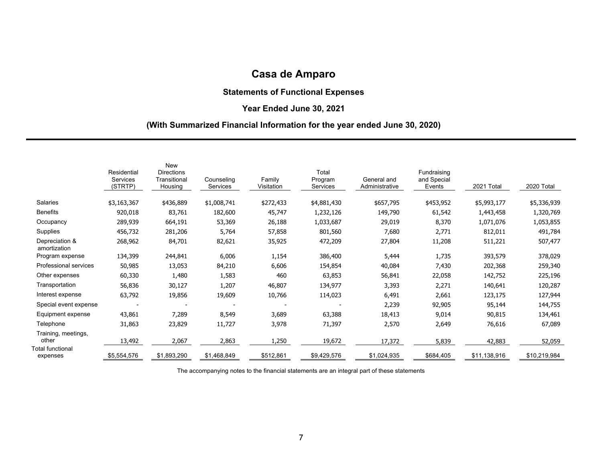# **Statements of Functional Expenses**

# **Year Ended June 30, 2021**

# **(With Summarized Financial Information for the year ended June 30, 2020)**

|                                | Residential<br>Services<br>(STRTP) | New<br>Directions<br>Transitional<br>Housing | Counseling<br><b>Services</b> | Family<br>Visitation | Total<br>Program<br>Services | General and<br>Administrative | Fundraising<br>and Special<br>Events | 2021 Total   | 2020 Total   |
|--------------------------------|------------------------------------|----------------------------------------------|-------------------------------|----------------------|------------------------------|-------------------------------|--------------------------------------|--------------|--------------|
| Salaries                       | \$3,163,367                        | \$436,889                                    | \$1,008,741                   | \$272,433            | \$4,881,430                  | \$657,795                     | \$453,952                            | \$5,993,177  | \$5,336,939  |
| <b>Benefits</b>                | 920,018                            | 83,761                                       | 182,600                       | 45,747               | 1,232,126                    | 149,790                       | 61,542                               | 1,443,458    | 1,320,769    |
| Occupancy                      | 289,939                            | 664,191                                      | 53,369                        | 26,188               | 1,033,687                    | 29,019                        | 8,370                                | 1,071,076    | 1,053,855    |
| Supplies                       | 456,732                            | 281,206                                      | 5,764                         | 57,858               | 801,560                      | 7,680                         | 2,771                                | 812,011      | 491,784      |
| Depreciation &<br>amortization | 268,962                            | 84,701                                       | 82,621                        | 35,925               | 472,209                      | 27,804                        | 11,208                               | 511,221      | 507,477      |
| Program expense                | 134,399                            | 244,841                                      | 6,006                         | 1,154                | 386,400                      | 5,444                         | 1,735                                | 393,579      | 378,029      |
| Professional services          | 50,985                             | 13,053                                       | 84,210                        | 6,606                | 154,854                      | 40,084                        | 7,430                                | 202,368      | 259,340      |
| Other expenses                 | 60,330                             | 1,480                                        | 1,583                         | 460                  | 63,853                       | 56,841                        | 22,058                               | 142,752      | 225,196      |
| Transportation                 | 56,836                             | 30,127                                       | 1,207                         | 46,807               | 134,977                      | 3,393                         | 2,271                                | 140,641      | 120,287      |
| Interest expense               | 63,792                             | 19,856                                       | 19,609                        | 10,766               | 114,023                      | 6,491                         | 2,661                                | 123,175      | 127,944      |
| Special event expense          |                                    |                                              |                               |                      |                              | 2,239                         | 92,905                               | 95,144       | 144,755      |
| Equipment expense              | 43,861                             | 7,289                                        | 8,549                         | 3,689                | 63,388                       | 18,413                        | 9,014                                | 90,815       | 134,461      |
| Telephone                      | 31,863                             | 23,829                                       | 11,727                        | 3,978                | 71,397                       | 2,570                         | 2,649                                | 76,616       | 67,089       |
| Training, meetings,<br>other   | 13,492                             | 2,067                                        | 2,863                         | 1,250                | 19,672                       | 17,372                        | 5,839                                | 42,883       | 52,059       |
| Total functional<br>expenses   | \$5,554,576                        | \$1,893,290                                  | \$1,468,849                   | \$512,861            | \$9,429,576                  | \$1,024,935                   | \$684,405                            | \$11,138,916 | \$10,219,984 |

The accompanying notes to the financial statements are an integral part of these statements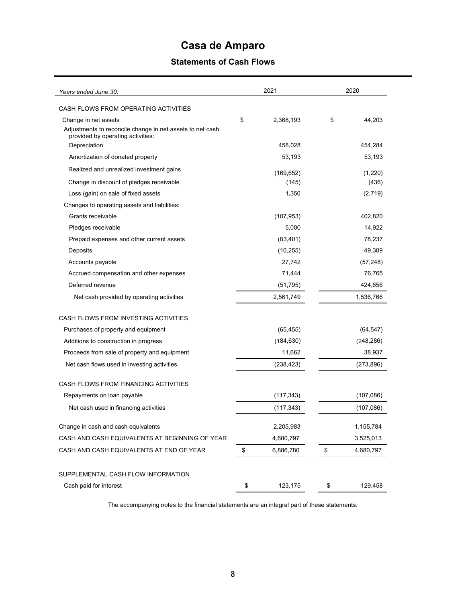# **Statements of Cash Flows**

| Years ended June 30,                                                                           | 2021            |    | 2020       |  |  |
|------------------------------------------------------------------------------------------------|-----------------|----|------------|--|--|
| CASH FLOWS FROM OPERATING ACTIVITIES                                                           |                 |    |            |  |  |
| Change in net assets                                                                           | \$<br>2,368,193 | \$ | 44,203     |  |  |
| Adjustments to reconcile change in net assets to net cash<br>provided by operating activities: |                 |    |            |  |  |
| Depreciation                                                                                   | 458,028         |    | 454,284    |  |  |
| Amortization of donated property                                                               | 53,193          |    | 53,193     |  |  |
| Realized and unrealized investment gains                                                       | (169, 652)      |    | (1,220)    |  |  |
| Change in discount of pledges receivable                                                       | (145)           |    | (436)      |  |  |
| Loss (gain) on sale of fixed assets                                                            | 1,350           |    | (2,719)    |  |  |
| Changes to operating assets and liabilities:                                                   |                 |    |            |  |  |
| Grants receivable                                                                              | (107, 953)      |    | 402,820    |  |  |
| Pledges receivable                                                                             | 5,000           |    | 14,922     |  |  |
| Prepaid expenses and other current assets                                                      | (83, 401)       |    | 78,237     |  |  |
| Deposits                                                                                       | (10, 255)       |    | 49,309     |  |  |
| Accounts payable                                                                               | 27,742          |    | (57, 248)  |  |  |
| Accrued compensation and other expenses                                                        | 71,444          |    | 76,765     |  |  |
| Deferred revenue                                                                               | (51, 795)       |    | 424,656    |  |  |
| Net cash provided by operating activities                                                      | 2,561,749       |    | 1,536,766  |  |  |
| CASH FLOWS FROM INVESTING ACTIVITIES                                                           |                 |    |            |  |  |
| Purchases of property and equipment                                                            | (65, 455)       |    | (64, 547)  |  |  |
| Additions to construction in progress                                                          | (184, 630)      |    | (248, 286) |  |  |
| Proceeds from sale of property and equipment                                                   | 11,662          |    | 38,937     |  |  |
| Net cash flows used in investing activities                                                    | (238, 423)      |    | (273, 896) |  |  |
| CASH FLOWS FROM FINANCING ACTIVITIES                                                           |                 |    |            |  |  |
| Repayments on loan payable                                                                     | (117, 343)      |    | (107,086)  |  |  |
| Net cash used in financing activities                                                          | (117, 343)      |    | (107,086)  |  |  |
| Change in cash and cash equivalents                                                            | 2,205,983       |    | 1,155,784  |  |  |
| CASH AND CASH EQUIVALENTS AT BEGINNING OF YEAR                                                 | 4,680,797       |    | 3,525,013  |  |  |
| CASH AND CASH EQUIVALENTS AT END OF YEAR                                                       | \$<br>6,886,780 | \$ | 4,680,797  |  |  |
| SUPPLEMENTAL CASH FLOW INFORMATION                                                             |                 |    |            |  |  |
| Cash paid for interest                                                                         | \$<br>123,175   | \$ | 129,458    |  |  |
|                                                                                                |                 |    |            |  |  |

The accompanying notes to the financial statements are an integral part of these statements.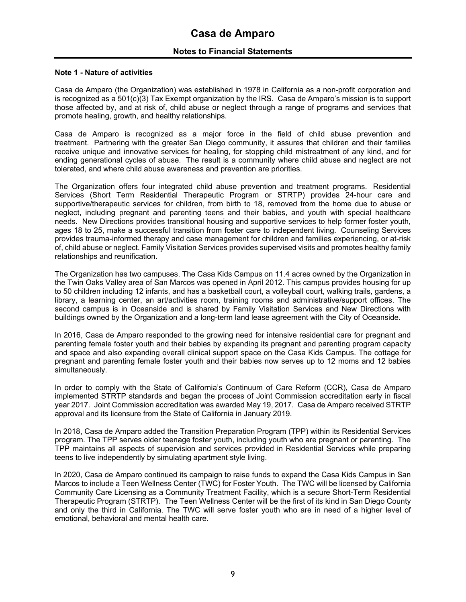#### **Note 1 - Nature of activities**

Casa de Amparo (the Organization) was established in 1978 in California as a non-profit corporation and is recognized as a 501(c)(3) Tax Exempt organization by the IRS. Casa de Amparo's mission is to support those affected by, and at risk of, child abuse or neglect through a range of programs and services that promote healing, growth, and healthy relationships.

Casa de Amparo is recognized as a major force in the field of child abuse prevention and treatment. Partnering with the greater San Diego community, it assures that children and their families receive unique and innovative services for healing, for stopping child mistreatment of any kind, and for ending generational cycles of abuse. The result is a community where child abuse and neglect are not tolerated, and where child abuse awareness and prevention are priorities.

The Organization offers four integrated child abuse prevention and treatment programs. Residential Services (Short Term Residential Therapeutic Program or STRTP) provides 24-hour care and supportive/therapeutic services for children, from birth to 18, removed from the home due to abuse or neglect, including pregnant and parenting teens and their babies, and youth with special healthcare needs. New Directions provides transitional housing and supportive services to help former foster youth, ages 18 to 25, make a successful transition from foster care to independent living. Counseling Services provides trauma-informed therapy and case management for children and families experiencing, or at-risk of, child abuse or neglect. Family Visitation Services provides supervised visits and promotes healthy family relationships and reunification.

The Organization has two campuses. The Casa Kids Campus on 11.4 acres owned by the Organization in the Twin Oaks Valley area of San Marcos was opened in April 2012. This campus provides housing for up to 50 children including 12 infants, and has a basketball court, a volleyball court, walking trails, gardens, a library, a learning center, an art/activities room, training rooms and administrative/support offices. The second campus is in Oceanside and is shared by Family Visitation Services and New Directions with buildings owned by the Organization and a long-term land lease agreement with the City of Oceanside.

In 2016, Casa de Amparo responded to the growing need for intensive residential care for pregnant and parenting female foster youth and their babies by expanding its pregnant and parenting program capacity and space and also expanding overall clinical support space on the Casa Kids Campus. The cottage for pregnant and parenting female foster youth and their babies now serves up to 12 moms and 12 babies simultaneously.

In order to comply with the State of California's Continuum of Care Reform (CCR), Casa de Amparo implemented STRTP standards and began the process of Joint Commission accreditation early in fiscal year 2017. Joint Commission accreditation was awarded May 19, 2017. Casa de Amparo received STRTP approval and its licensure from the State of California in January 2019.

In 2018, Casa de Amparo added the Transition Preparation Program (TPP) within its Residential Services program. The TPP serves older teenage foster youth, including youth who are pregnant or parenting. The TPP maintains all aspects of supervision and services provided in Residential Services while preparing teens to live independently by simulating apartment style living.

In 2020, Casa de Amparo continued its campaign to raise funds to expand the Casa Kids Campus in San Marcos to include a Teen Wellness Center (TWC) for Foster Youth. The TWC will be licensed by California Community Care Licensing as a Community Treatment Facility, which is a secure Short-Term Residential Therapeutic Program (STRTP). The Teen Wellness Center will be the first of its kind in San Diego County and only the third in California. The TWC will serve foster youth who are in need of a higher level of emotional, behavioral and mental health care.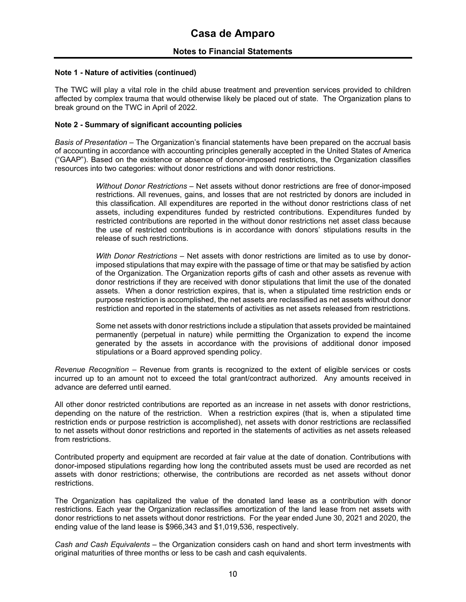#### **Note 1 - Nature of activities (continued)**

The TWC will play a vital role in the child abuse treatment and prevention services provided to children affected by complex trauma that would otherwise likely be placed out of state. The Organization plans to break ground on the TWC in April of 2022.

#### **Note 2 - Summary of significant accounting policies**

*Basis of Presentation –* The Organization's financial statements have been prepared on the accrual basis of accounting in accordance with accounting principles generally accepted in the United States of America ("GAAP"). Based on the existence or absence of donor-imposed restrictions, the Organization classifies resources into two categories: without donor restrictions and with donor restrictions.

> *Without Donor Restrictions* – Net assets without donor restrictions are free of donor-imposed restrictions. All revenues, gains, and losses that are not restricted by donors are included in this classification. All expenditures are reported in the without donor restrictions class of net assets, including expenditures funded by restricted contributions. Expenditures funded by restricted contributions are reported in the without donor restrictions net asset class because the use of restricted contributions is in accordance with donors' stipulations results in the release of such restrictions.

> *With Donor Restrictions* – Net assets with donor restrictions are limited as to use by donorimposed stipulations that may expire with the passage of time or that may be satisfied by action of the Organization. The Organization reports gifts of cash and other assets as revenue with donor restrictions if they are received with donor stipulations that limit the use of the donated assets. When a donor restriction expires, that is, when a stipulated time restriction ends or purpose restriction is accomplished, the net assets are reclassified as net assets without donor restriction and reported in the statements of activities as net assets released from restrictions.

> Some net assets with donor restrictions include a stipulation that assets provided be maintained permanently (perpetual in nature) while permitting the Organization to expend the income generated by the assets in accordance with the provisions of additional donor imposed stipulations or a Board approved spending policy.

*Revenue Recognition –* Revenue from grants is recognized to the extent of eligible services or costs incurred up to an amount not to exceed the total grant/contract authorized. Any amounts received in advance are deferred until earned.

All other donor restricted contributions are reported as an increase in net assets with donor restrictions, depending on the nature of the restriction. When a restriction expires (that is, when a stipulated time restriction ends or purpose restriction is accomplished), net assets with donor restrictions are reclassified to net assets without donor restrictions and reported in the statements of activities as net assets released from restrictions.

Contributed property and equipment are recorded at fair value at the date of donation. Contributions with donor-imposed stipulations regarding how long the contributed assets must be used are recorded as net assets with donor restrictions; otherwise, the contributions are recorded as net assets without donor restrictions.

The Organization has capitalized the value of the donated land lease as a contribution with donor restrictions. Each year the Organization reclassifies amortization of the land lease from net assets with donor restrictions to net assets without donor restrictions. For the year ended June 30, 2021 and 2020, the ending value of the land lease is \$966,343 and \$1,019,536, respectively.

*Cash and Cash Equivalents –* the Organization considers cash on hand and short term investments with original maturities of three months or less to be cash and cash equivalents.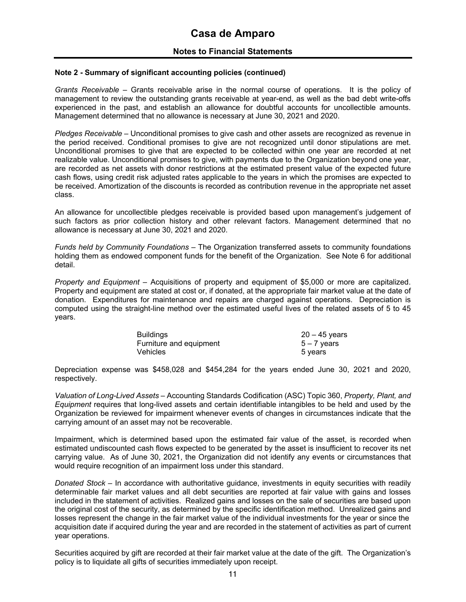# **Note 2 - Summary of significant accounting policies (continued)**

*Grants Receivable –* Grants receivable arise in the normal course of operations. It is the policy of management to review the outstanding grants receivable at year-end, as well as the bad debt write-offs experienced in the past, and establish an allowance for doubtful accounts for uncollectible amounts. Management determined that no allowance is necessary at June 30, 2021 and 2020.

*Pledges Receivable –* Unconditional promises to give cash and other assets are recognized as revenue in the period received. Conditional promises to give are not recognized until donor stipulations are met. Unconditional promises to give that are expected to be collected within one year are recorded at net realizable value. Unconditional promises to give, with payments due to the Organization beyond one year, are recorded as net assets with donor restrictions at the estimated present value of the expected future cash flows, using credit risk adjusted rates applicable to the years in which the promises are expected to be received. Amortization of the discounts is recorded as contribution revenue in the appropriate net asset class.

An allowance for uncollectible pledges receivable is provided based upon management's judgement of such factors as prior collection history and other relevant factors. Management determined that no allowance is necessary at June 30, 2021 and 2020.

*Funds held by Community Foundations –* The Organization transferred assets to community foundations holding them as endowed component funds for the benefit of the Organization. See Note 6 for additional detail.

*Property and Equipment –* Acquisitions of property and equipment of \$5,000 or more are capitalized. Property and equipment are stated at cost or, if donated, at the appropriate fair market value at the date of donation. Expenditures for maintenance and repairs are charged against operations. Depreciation is computed using the straight-line method over the estimated useful lives of the related assets of 5 to 45 years.

| <b>Buildings</b>        | $20 - 45$ years |
|-------------------------|-----------------|
| Furniture and equipment | $5 - 7$ years   |
| <b>Vehicles</b>         | 5 years         |

Depreciation expense was \$458,028 and \$454,284 for the years ended June 30, 2021 and 2020, respectively.

*Valuation of Long-Lived Assets –* Accounting Standards Codification (ASC) Topic 360, *Property, Plant, and Equipment* requires that long-lived assets and certain identifiable intangibles to be held and used by the Organization be reviewed for impairment whenever events of changes in circumstances indicate that the carrying amount of an asset may not be recoverable.

Impairment, which is determined based upon the estimated fair value of the asset, is recorded when estimated undiscounted cash flows expected to be generated by the asset is insufficient to recover its net carrying value. As of June 30, 2021, the Organization did not identify any events or circumstances that would require recognition of an impairment loss under this standard.

*Donated Stock –* In accordance with authoritative guidance, investments in equity securities with readily determinable fair market values and all debt securities are reported at fair value with gains and losses included in the statement of activities. Realized gains and losses on the sale of securities are based upon the original cost of the security, as determined by the specific identification method. Unrealized gains and losses represent the change in the fair market value of the individual investments for the year or since the acquisition date if acquired during the year and are recorded in the statement of activities as part of current year operations.

Securities acquired by gift are recorded at their fair market value at the date of the gift. The Organization's policy is to liquidate all gifts of securities immediately upon receipt.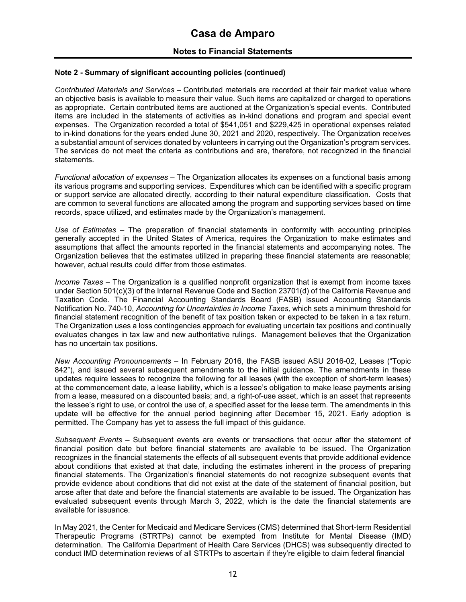# **Note 2 - Summary of significant accounting policies (continued)**

*Contributed Materials and Services –* Contributed materials are recorded at their fair market value where an objective basis is available to measure their value. Such items are capitalized or charged to operations as appropriate. Certain contributed items are auctioned at the Organization's special events. Contributed items are included in the statements of activities as in-kind donations and program and special event expenses. The Organization recorded a total of \$541,051 and \$229,425 in operational expenses related to in-kind donations for the years ended June 30, 2021 and 2020, respectively. The Organization receives a substantial amount of services donated by volunteers in carrying out the Organization's program services. The services do not meet the criteria as contributions and are, therefore, not recognized in the financial statements.

*Functional allocation of expenses –* The Organization allocates its expenses on a functional basis among its various programs and supporting services. Expenditures which can be identified with a specific program or support service are allocated directly, according to their natural expenditure classification. Costs that are common to several functions are allocated among the program and supporting services based on time records, space utilized, and estimates made by the Organization's management.

*Use of Estimates –* The preparation of financial statements in conformity with accounting principles generally accepted in the United States of America, requires the Organization to make estimates and assumptions that affect the amounts reported in the financial statements and accompanying notes. The Organization believes that the estimates utilized in preparing these financial statements are reasonable; however, actual results could differ from those estimates.

*Income Taxes –* The Organization is a qualified nonprofit organization that is exempt from income taxes under Section 501(c)(3) of the Internal Revenue Code and Section 23701(d) of the California Revenue and Taxation Code. The Financial Accounting Standards Board (FASB) issued Accounting Standards Notification No. 740-10, *Accounting for Uncertainties in Income Taxes,* which sets a minimum threshold for financial statement recognition of the benefit of tax position taken or expected to be taken in a tax return. The Organization uses a loss contingencies approach for evaluating uncertain tax positions and continually evaluates changes in tax law and new authoritative rulings. Management believes that the Organization has no uncertain tax positions.

*New Accounting Pronouncements –* In February 2016, the FASB issued ASU 2016-02, Leases ("Topic 842"), and issued several subsequent amendments to the initial guidance. The amendments in these updates require lessees to recognize the following for all leases (with the exception of short-term leases) at the commencement date, a lease liability, which is a lessee's obligation to make lease payments arising from a lease, measured on a discounted basis; and, a right-of-use asset, which is an asset that represents the lessee's right to use, or control the use of, a specified asset for the lease term. The amendments in this update will be effective for the annual period beginning after December 15, 2021. Early adoption is permitted. The Company has yet to assess the full impact of this guidance.

*Subsequent Events –* Subsequent events are events or transactions that occur after the statement of financial position date but before financial statements are available to be issued. The Organization recognizes in the financial statements the effects of all subsequent events that provide additional evidence about conditions that existed at that date, including the estimates inherent in the process of preparing financial statements. The Organization's financial statements do not recognize subsequent events that provide evidence about conditions that did not exist at the date of the statement of financial position, but arose after that date and before the financial statements are available to be issued. The Organization has evaluated subsequent events through March 3, 2022, which is the date the financial statements are available for issuance.

In May 2021, the Center for Medicaid and Medicare Services (CMS) determined that Short-term Residential Therapeutic Programs (STRTPs) cannot be exempted from Institute for Mental Disease (IMD) determination. The California Department of Health Care Services (DHCS) was subsequently directed to conduct IMD determination reviews of all STRTPs to ascertain if they're eligible to claim federal financial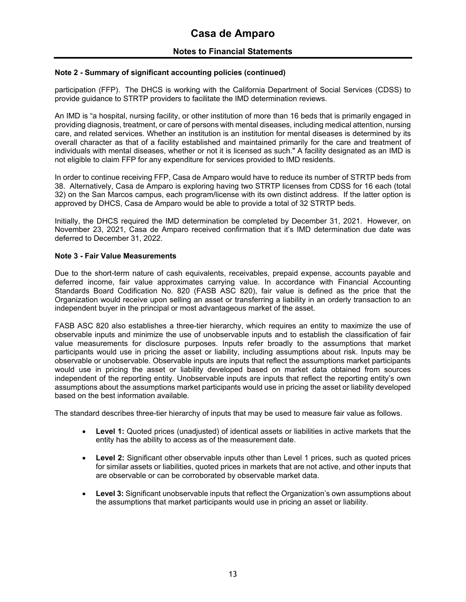# **Note 2 - Summary of significant accounting policies (continued)**

participation (FFP). The DHCS is working with the California Department of Social Services (CDSS) to provide guidance to STRTP providers to facilitate the IMD determination reviews.

An IMD is "a hospital, nursing facility, or other institution of more than 16 beds that is primarily engaged in providing diagnosis, treatment, or care of persons with mental diseases, including medical attention, nursing care, and related services. Whether an institution is an institution for mental diseases is determined by its overall character as that of a facility established and maintained primarily for the care and treatment of individuals with mental diseases, whether or not it is licensed as such." A facility designated as an IMD is not eligible to claim FFP for any expenditure for services provided to IMD residents.

In order to continue receiving FFP, Casa de Amparo would have to reduce its number of STRTP beds from 38. Alternatively, Casa de Amparo is exploring having two STRTP licenses from CDSS for 16 each (total 32) on the San Marcos campus, each program/license with its own distinct address. If the latter option is approved by DHCS, Casa de Amparo would be able to provide a total of 32 STRTP beds.

Initially, the DHCS required the IMD determination be completed by December 31, 2021. However, on November 23, 2021, Casa de Amparo received confirmation that it's IMD determination due date was deferred to December 31, 2022.

#### **Note 3 - Fair Value Measurements**

Due to the short-term nature of cash equivalents, receivables, prepaid expense, accounts payable and deferred income, fair value approximates carrying value. In accordance with Financial Accounting Standards Board Codification No. 820 (FASB ASC 820), fair value is defined as the price that the Organization would receive upon selling an asset or transferring a liability in an orderly transaction to an independent buyer in the principal or most advantageous market of the asset.

FASB ASC 820 also establishes a three-tier hierarchy, which requires an entity to maximize the use of observable inputs and minimize the use of unobservable inputs and to establish the classification of fair value measurements for disclosure purposes. Inputs refer broadly to the assumptions that market participants would use in pricing the asset or liability, including assumptions about risk. Inputs may be observable or unobservable. Observable inputs are inputs that reflect the assumptions market participants would use in pricing the asset or liability developed based on market data obtained from sources independent of the reporting entity. Unobservable inputs are inputs that reflect the reporting entity's own assumptions about the assumptions market participants would use in pricing the asset or liability developed based on the best information available.

The standard describes three-tier hierarchy of inputs that may be used to measure fair value as follows.

- **Level 1:** Quoted prices (unadjusted) of identical assets or liabilities in active markets that the entity has the ability to access as of the measurement date.
- **Level 2:** Significant other observable inputs other than Level 1 prices, such as quoted prices for similar assets or liabilities, quoted prices in markets that are not active, and other inputs that are observable or can be corroborated by observable market data.
- **Level 3:** Significant unobservable inputs that reflect the Organization's own assumptions about the assumptions that market participants would use in pricing an asset or liability.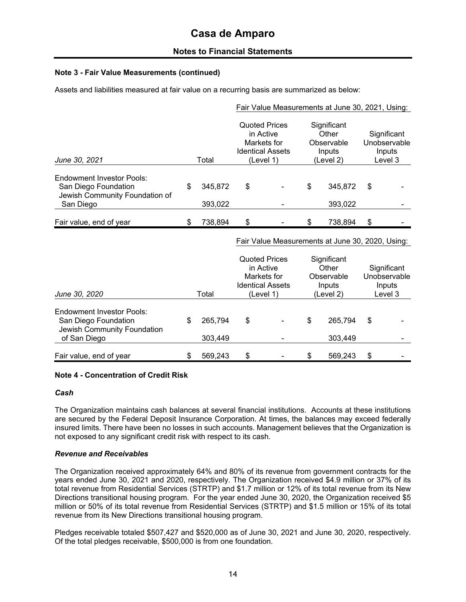# **Note 3 - Fair Value Measurements (continued)**

Assets and liabilities measured at fair value on a recurring basis are summarized as below:

|                                                                                                         | Fair Value Measurements at June 30, 2021, Using: |                    |    |                                                                                          |    |                                                           |                                                  |
|---------------------------------------------------------------------------------------------------------|--------------------------------------------------|--------------------|----|------------------------------------------------------------------------------------------|----|-----------------------------------------------------------|--------------------------------------------------|
| June 30, 2021                                                                                           |                                                  | Total              |    | <b>Quoted Prices</b><br>in Active<br>Markets for<br><b>Identical Assets</b><br>(Level 1) |    | Significant<br>Other<br>Observable<br>Inputs<br>(Level 2) | Significant<br>Unobservable<br>Inputs<br>Level 3 |
| <b>Endowment Investor Pools:</b><br>San Diego Foundation<br>Jewish Community Foundation of<br>San Diego | \$                                               | 345,872<br>393,022 | \$ |                                                                                          | \$ | 345,872<br>393,022                                        | \$                                               |
| Fair value, end of year                                                                                 | \$                                               | 738,894            | \$ |                                                                                          | \$ | 738,894                                                   | \$                                               |
|                                                                                                         |                                                  |                    |    |                                                                                          |    | Fair Value Measurements at June 30, 2020, Using:          |                                                  |
| June 30, 2020                                                                                           |                                                  | Total              |    | <b>Quoted Prices</b><br>in Active<br>Markets for<br><b>Identical Assets</b><br>(Level 1) |    | Significant<br>Other<br>Observable<br>Inputs<br>(Level 2) | Significant<br>Unobservable<br>Inputs<br>Level 3 |
| <b>Endowment Investor Pools:</b><br>San Diego Foundation<br>Jewish Community Foundation<br>of San Diego | \$                                               | 265,794<br>303,449 | \$ |                                                                                          | \$ | 265,794<br>303,449                                        | \$                                               |
| Fair value, end of year                                                                                 | \$                                               | 569,243            | \$ |                                                                                          | \$ | 569,243                                                   | \$                                               |

# **Note 4 - Concentration of Credit Risk**

# *Cash*

The Organization maintains cash balances at several financial institutions. Accounts at these institutions are secured by the Federal Deposit Insurance Corporation. At times, the balances may exceed federally insured limits. There have been no losses in such accounts. Management believes that the Organization is not exposed to any significant credit risk with respect to its cash.

#### *Revenue and Receivables*

The Organization received approximately 64% and 80% of its revenue from government contracts for the years ended June 30, 2021 and 2020, respectively. The Organization received \$4.9 million or 37% of its total revenue from Residential Services (STRTP) and \$1.7 million or 12% of its total revenue from its New Directions transitional housing program. For the year ended June 30, 2020, the Organization received \$5 million or 50% of its total revenue from Residential Services (STRTP) and \$1.5 million or 15% of its total revenue from its New Directions transitional housing program.

Pledges receivable totaled \$507,427 and \$520,000 as of June 30, 2021 and June 30, 2020, respectively. Of the total pledges receivable, \$500,000 is from one foundation.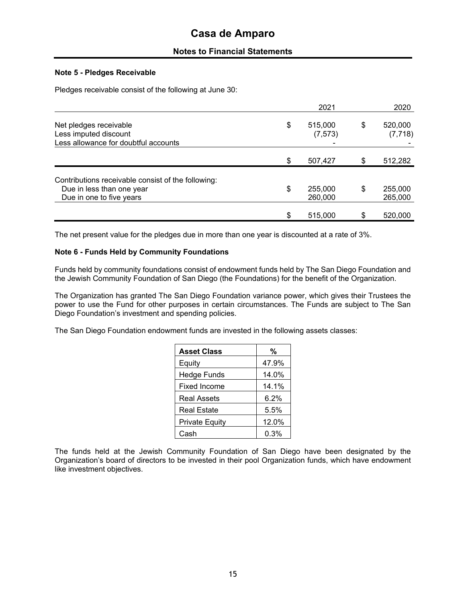# **Note 5 - Pledges Receivable**

Pledges receivable consist of the following at June 30:

|                                                                                                             | 2021                      |    | 2020                |
|-------------------------------------------------------------------------------------------------------------|---------------------------|----|---------------------|
| Net pledges receivable<br>Less imputed discount<br>Less allowance for doubtful accounts                     | \$<br>515,000<br>(7, 573) | \$ | 520,000<br>(7, 718) |
|                                                                                                             | \$<br>507,427             | S  | 512,282             |
| Contributions receivable consist of the following:<br>Due in less than one year<br>Due in one to five years | \$<br>255,000<br>260,000  | \$ | 255,000<br>265,000  |
|                                                                                                             | \$<br>515,000             | S  | 520,000             |

The net present value for the pledges due in more than one year is discounted at a rate of 3%.

# **Note 6 - Funds Held by Community Foundations**

Funds held by community foundations consist of endowment funds held by The San Diego Foundation and the Jewish Community Foundation of San Diego (the Foundations) for the benefit of the Organization.

The Organization has granted The San Diego Foundation variance power, which gives their Trustees the power to use the Fund for other purposes in certain circumstances. The Funds are subject to The San Diego Foundation's investment and spending policies.

The San Diego Foundation endowment funds are invested in the following assets classes:

| <b>Asset Class</b>    | %     |
|-----------------------|-------|
| Equity                | 47.9% |
| Hedge Funds           | 14.0% |
| Fixed Income          | 14.1% |
| <b>Real Assets</b>    | 6.2%  |
| Real Estate           | 5.5%  |
| <b>Private Equity</b> | 12.0% |
| Cash                  | 0.3%  |

The funds held at the Jewish Community Foundation of San Diego have been designated by the Organization's board of directors to be invested in their pool Organization funds, which have endowment like investment objectives.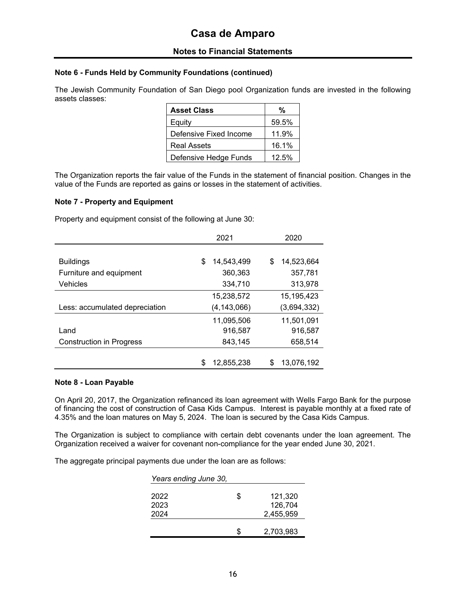# **Note 6 - Funds Held by Community Foundations (continued)**

The Jewish Community Foundation of San Diego pool Organization funds are invested in the following assets classes:

| <b>Asset Class</b>     | %     |
|------------------------|-------|
| Equity                 | 59.5% |
| Defensive Fixed Income | 11.9% |
| Real Assets            | 16.1% |
| Defensive Hedge Funds  | 12.5% |

The Organization reports the fair value of the Funds in the statement of financial position. Changes in the value of the Funds are reported as gains or losses in the statement of activities.

#### **Note 7 - Property and Equipment**

Property and equipment consist of the following at June 30:

|                                 | 2021             | 2020             |
|---------------------------------|------------------|------------------|
|                                 |                  |                  |
| <b>Buildings</b>                | \$<br>14,543,499 | \$<br>14,523,664 |
| Furniture and equipment         | 360,363          | 357,781          |
| Vehicles                        | 334,710          | 313,978          |
|                                 | 15,238,572       | 15,195,423       |
| Less: accumulated depreciation  | (4, 143, 066)    | (3,694,332)      |
|                                 | 11,095,506       | 11,501,091       |
| Land                            | 916,587          | 916,587          |
| <b>Construction in Progress</b> | 843,145          | 658,514          |
|                                 |                  |                  |
|                                 | 12,855,238<br>\$ | 13,076,192<br>\$ |

#### **Note 8 - Loan Payable**

On April 20, 2017, the Organization refinanced its loan agreement with Wells Fargo Bank for the purpose of financing the cost of construction of Casa Kids Campus. Interest is payable monthly at a fixed rate of 4.35% and the loan matures on May 5, 2024. The loan is secured by the Casa Kids Campus.

The Organization is subject to compliance with certain debt covenants under the loan agreement. The Organization received a waiver for covenant non-compliance for the year ended June 30, 2021.

The aggregate principal payments due under the loan are as follows:

| Years ending June 30, |    |           |
|-----------------------|----|-----------|
| 2022                  | \$ | 121,320   |
| 2023                  |    | 126,704   |
| 2024                  |    | 2,455,959 |
|                       |    |           |
|                       | ፍ  | 2,703,983 |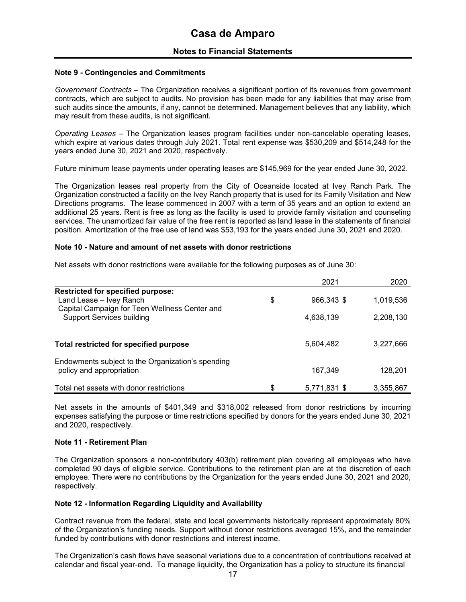#### **Note 9 - Contingencies and Commitments**

*Government Contracts –* The Organization receives a significant portion of its revenues from government contracts, which are subject to audits. No provision has been made for any liabilities that may arise from such audits since the amounts, if any, cannot be determined. Management believes that any liability, which may result from these audits, is not significant.

*Operating Leases –* The Organization leases program facilities under non-cancelable operating leases, which expire at various dates through July 2021. Total rent expense was \$530,209 and \$514,248 for the years ended June 30, 2021 and 2020, respectively.

Future minimum lease payments under operating leases are \$145,969 for the year ended June 30, 2022.

The Organization leases real property from the City of Oceanside located at Ivey Ranch Park. The Organization constructed a facility on the Ivey Ranch property that is used for its Family Visitation and New Directions programs. The lease commenced in 2007 with a term of 35 years and an option to extend an additional 25 years. Rent is free as long as the facility is used to provide family visitation and counseling services. The unamortized fair value of the free rent is reported as land lease in the statements of financial position. Amortization of the free use of land was \$53,193 for the years ended June 30, 2021 and 2020.

#### **Note 10 - Nature and amount of net assets with donor restrictions**

Net assets with donor restrictions were available for the following purposes as of June 30:

|                                                                               | 2021               | 2020      |
|-------------------------------------------------------------------------------|--------------------|-----------|
| <b>Restricted for specified purpose:</b>                                      |                    |           |
| Land Lease - Ivey Ranch<br>Capital Campaign for Teen Wellness Center and      | \$<br>966,343 \$   | 1,019,536 |
| <b>Support Services building</b>                                              | 4,638,139          | 2,208,130 |
| Total restricted for specified purpose                                        | 5,604,482          | 3,227,666 |
| Endowments subject to the Organization's spending<br>policy and appropriation | 167,349            | 128,201   |
| Total net assets with donor restrictions                                      | \$<br>5,771,831 \$ | 3,355,867 |

Net assets in the amounts of \$401,349 and \$318,002 released from donor restrictions by incurring expenses satisfying the purpose or time restrictions specified by donors for the years ended June 30, 2021 and 2020, respectively.

#### **Note 11 - Retirement Plan**

The Organization sponsors a non-contributory 403(b) retirement plan covering all employees who have completed 90 days of eligible service. Contributions to the retirement plan are at the discretion of each employee. There were no contributions by the Organization for the years ended June 30, 2021 and 2020, respectively.

#### **Note 12 - Information Regarding Liquidity and Availability**

Contract revenue from the federal, state and local governments historically represent approximately 80% of the Organization's funding needs. Support without donor restrictions averaged 15%, and the remainder funded by contributions with donor restrictions and interest income.

The Organization's cash flows have seasonal variations due to a concentration of contributions received at calendar and fiscal year-end. To manage liquidity, the Organization has a policy to structure its financial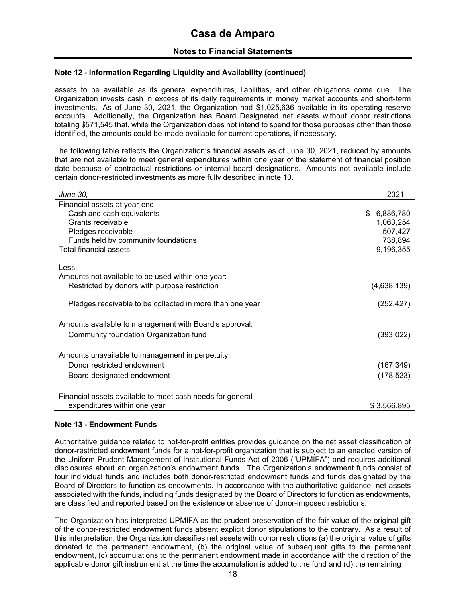# **Note 12 - Information Regarding Liquidity and Availability (continued)**

assets to be available as its general expenditures, liabilities, and other obligations come due. The Organization invests cash in excess of its daily requirements in money market accounts and short-term investments. As of June 30, 2021, the Organization had \$1,025,636 available in its operating reserve accounts. Additionally, the Organization has Board Designated net assets without donor restrictions totaling \$571,545 that, while the Organization does not intend to spend for those purposes other than those identified, the amounts could be made available for current operations, if necessary.

The following table reflects the Organization's financial assets as of June 30, 2021, reduced by amounts that are not available to meet general expenditures within one year of the statement of financial position date because of contractual restrictions or internal board designations. Amounts not available include certain donor-restricted investments as more fully described in note 10.

| June 30,                                                  | 2021             |
|-----------------------------------------------------------|------------------|
| Financial assets at year-end:                             |                  |
| Cash and cash equivalents                                 | 6,886,780<br>\$. |
| Grants receivable                                         | 1,063,254        |
| Pledges receivable                                        | 507,427          |
| Funds held by community foundations                       | 738,894          |
| <b>Total financial assets</b>                             | 9,196,355        |
|                                                           |                  |
| Less:                                                     |                  |
| Amounts not available to be used within one year:         |                  |
| Restricted by donors with purpose restriction             | (4,638,139)      |
| Pledges receivable to be collected in more than one year  | (252, 427)       |
|                                                           |                  |
| Amounts available to management with Board's approval:    |                  |
| Community foundation Organization fund                    | (393, 022)       |
|                                                           |                  |
| Amounts unavailable to management in perpetuity:          |                  |
| Donor restricted endowment                                | (167, 349)       |
| Board-designated endowment                                | (178, 523)       |
|                                                           |                  |
| Financial assets available to meet cash needs for general |                  |
| expenditures within one year                              | \$3,566,895      |
|                                                           |                  |

# **Note 13 - Endowment Funds**

Authoritative guidance related to not-for-profit entities provides guidance on the net asset classification of donor-restricted endowment funds for a not-for-profit organization that is subject to an enacted version of the Uniform Prudent Management of Institutional Funds Act of 2006 ("UPMIFA") and requires additional disclosures about an organization's endowment funds. The Organization's endowment funds consist of four individual funds and includes both donor-restricted endowment funds and funds designated by the Board of Directors to function as endowments. In accordance with the authoritative guidance, net assets associated with the funds, including funds designated by the Board of Directors to function as endowments, are classified and reported based on the existence or absence of donor-imposed restrictions.

The Organization has interpreted UPMIFA as the prudent preservation of the fair value of the original gift of the donor-restricted endowment funds absent explicit donor stipulations to the contrary. As a result of this interpretation, the Organization classifies net assets with donor restrictions (a) the original value of gifts donated to the permanent endowment, (b) the original value of subsequent gifts to the permanent endowment, (c) accumulations to the permanent endowment made in accordance with the direction of the applicable donor gift instrument at the time the accumulation is added to the fund and (d) the remaining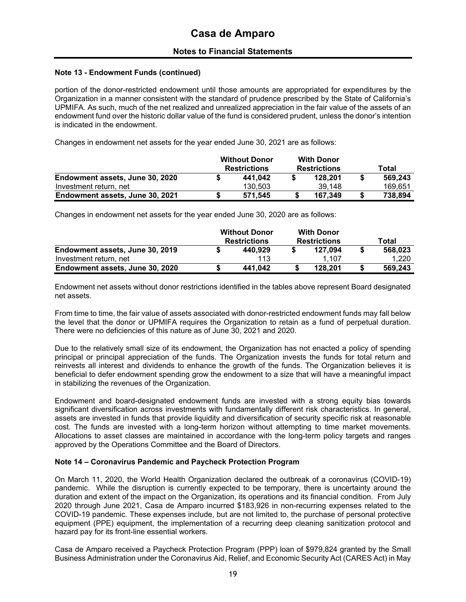# **Note 13 - Endowment Funds (continued)**

portion of the donor-restricted endowment until those amounts are appropriated for expenditures by the Organization in a manner consistent with the standard of prudence prescribed by the State of California's UPMIFA. As such, much of the net realized and unrealized appreciation in the fair value of the assets of an endowment fund over the historic dollar value of the fund is considered prudent, unless the donor's intention is indicated in the endowment.

Changes in endowment net assets for the year ended June 30, 2021 are as follows:

|                                 | <b>Without Donor</b><br><b>Restrictions</b> |         | <b>With Donor</b><br><b>Restrictions</b> |         | Total |         |
|---------------------------------|---------------------------------------------|---------|------------------------------------------|---------|-------|---------|
| Endowment assets, June 30, 2020 |                                             | 441.042 |                                          | 128.201 | S     | 569.243 |
| Investment return, net          |                                             | 130.503 |                                          | 39.148  |       | 169.651 |
| Endowment assets, June 30, 2021 |                                             | 571.545 |                                          | 167.349 | S     | 738,894 |

Changes in endowment net assets for the year ended June 30, 2020 are as follows:

|                                 | <b>Without Donor</b><br><b>Restrictions</b> |         | <b>With Donor</b><br><b>Restrictions</b> |         | Total |         |
|---------------------------------|---------------------------------------------|---------|------------------------------------------|---------|-------|---------|
| Endowment assets, June 30, 2019 |                                             | 440.929 |                                          | 127.094 | S     | 568,023 |
| Investment return, net          |                                             | 113     |                                          | 1.107   |       | 1.220   |
| Endowment assets, June 30, 2020 |                                             | 441.042 | - 11                                     | 128.201 | S     | 569,243 |

Endowment net assets without donor restrictions identified in the tables above represent Board designated net assets.

From time to time, the fair value of assets associated with donor-restricted endowment funds may fall below the level that the donor or UPMIFA requires the Organization to retain as a fund of perpetual duration. There were no deficiencies of this nature as of June 30, 2021 and 2020.

Due to the relatively small size of its endowment, the Organization has not enacted a policy of spending principal or principal appreciation of the funds. The Organization invests the funds for total return and reinvests all interest and dividends to enhance the growth of the funds. The Organization believes it is beneficial to defer endowment spending grow the endowment to a size that will have a meaningful impact in stabilizing the revenues of the Organization.

Endowment and board-designated endowment funds are invested with a strong equity bias towards significant diversification across investments with fundamentally different risk characteristics. In general, assets are invested in funds that provide liquidity and diversification of security specific risk at reasonable cost. The funds are invested with a long-term horizon without attempting to time market movements. Allocations to asset classes are maintained in accordance with the long-term policy targets and ranges approved by the Operations Committee and the Board of Directors.

#### **Note 14 – Coronavirus Pandemic and Paycheck Protection Program**

On March 11, 2020, the World Health Organization declared the outbreak of a coronavirus (COVID-19) pandemic. While the disruption is currently expected to be temporary, there is uncertainty around the duration and extent of the impact on the Organization, its operations and its financial condition. From July 2020 through June 2021, Casa de Amparo incurred \$183,926 in non-recurring expenses related to the COVID-19 pandemic. These expenses include, but are not limited to, the purchase of personal protective equipment (PPE) equipment, the implementation of a recurring deep cleaning sanitization protocol and hazard pay for its front-line essential workers.

Casa de Amparo received a Paycheck Protection Program (PPP) loan of \$979,824 granted by the Small Business Administration under the Coronavirus Aid, Relief, and Economic Security Act (CARES Act) in May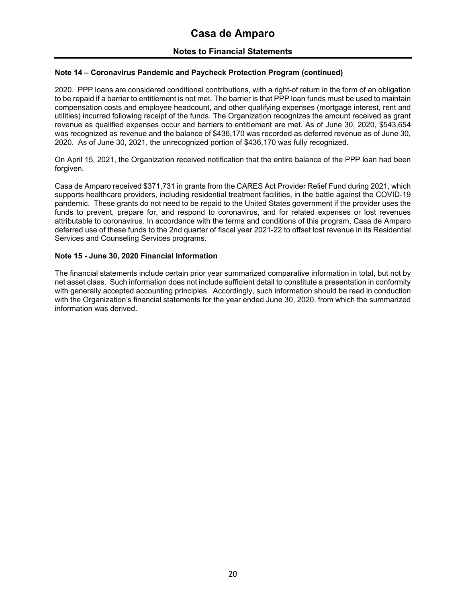# **Note 14 – Coronavirus Pandemic and Paycheck Protection Program (continued)**

2020. PPP loans are considered conditional contributions, with a right-of return in the form of an obligation to be repaid if a barrier to entitlement is not met. The barrier is that PPP loan funds must be used to maintain compensation costs and employee headcount, and other qualifying expenses (mortgage interest, rent and utilities) incurred following receipt of the funds. The Organization recognizes the amount received as grant revenue as qualified expenses occur and barriers to entitlement are met. As of June 30, 2020, \$543,654 was recognized as revenue and the balance of \$436,170 was recorded as deferred revenue as of June 30, 2020. As of June 30, 2021, the unrecognized portion of \$436,170 was fully recognized.

On April 15, 2021, the Organization received notification that the entire balance of the PPP loan had been forgiven.

Casa de Amparo received \$371,731 in grants from the CARES Act Provider Relief Fund during 2021, which supports healthcare providers, including residential treatment facilities, in the battle against the COVID-19 pandemic. These grants do not need to be repaid to the United States government if the provider uses the funds to prevent, prepare for, and respond to coronavirus, and for related expenses or lost revenues attributable to coronavirus. In accordance with the terms and conditions of this program, Casa de Amparo deferred use of these funds to the 2nd quarter of fiscal year 2021-22 to offset lost revenue in its Residential Services and Counseling Services programs.

#### **Note 15 - June 30, 2020 Financial Information**

The financial statements include certain prior year summarized comparative information in total, but not by net asset class. Such information does not include sufficient detail to constitute a presentation in conformity with generally accepted accounting principles. Accordingly, such information should be read in conduction with the Organization's financial statements for the year ended June 30, 2020, from which the summarized information was derived.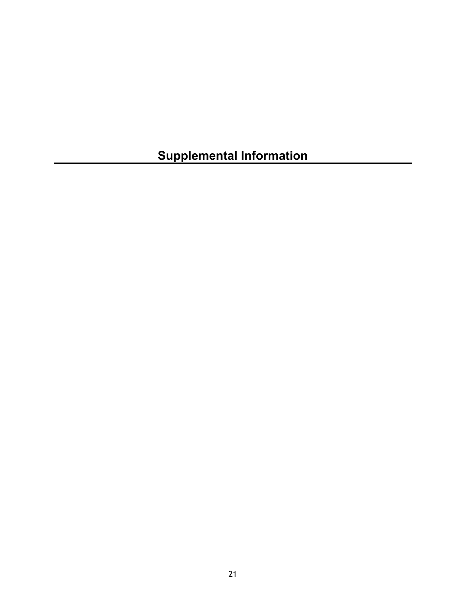**Supplemental Information**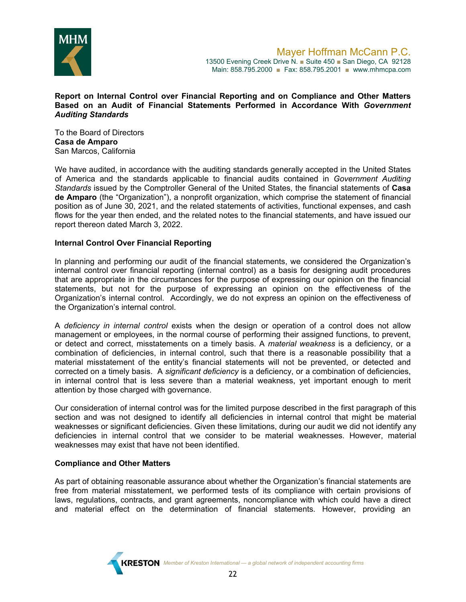

Mayer Hoffman McCann P.C.

13500 Evening Creek Drive N. ■ Suite 450 ■ San Diego, CA 92128 Main: 858.795.2000 ■ Fax: 858.795.2001 ■ www.mhmcpa.com

#### **Report on Internal Control over Financial Reporting and on Compliance and Other Matters Based on an Audit of Financial Statements Performed in Accordance With** *Government Auditing Standards*

To the Board of Directors **Casa de Amparo**  San Marcos, California

We have audited, in accordance with the auditing standards generally accepted in the United States of America and the standards applicable to financial audits contained in *Government Auditing Standards* issued by the Comptroller General of the United States, the financial statements of **Casa de Amparo** (the "Organization"), a nonprofit organization, which comprise the statement of financial position as of June 30, 2021, and the related statements of activities, functional expenses, and cash flows for the year then ended, and the related notes to the financial statements, and have issued our report thereon dated March 3, 2022.

# **Internal Control Over Financial Reporting**

In planning and performing our audit of the financial statements, we considered the Organization's internal control over financial reporting (internal control) as a basis for designing audit procedures that are appropriate in the circumstances for the purpose of expressing our opinion on the financial statements, but not for the purpose of expressing an opinion on the effectiveness of the Organization's internal control. Accordingly, we do not express an opinion on the effectiveness of the Organization's internal control.

A *deficiency in internal control* exists when the design or operation of a control does not allow management or employees, in the normal course of performing their assigned functions, to prevent, or detect and correct, misstatements on a timely basis. A *material weakness* is a deficiency, or a combination of deficiencies, in internal control, such that there is a reasonable possibility that a material misstatement of the entity's financial statements will not be prevented, or detected and corrected on a timely basis. A *significant deficiency* is a deficiency, or a combination of deficiencies, in internal control that is less severe than a material weakness, yet important enough to merit attention by those charged with governance.

Our consideration of internal control was for the limited purpose described in the first paragraph of this section and was not designed to identify all deficiencies in internal control that might be material weaknesses or significant deficiencies. Given these limitations, during our audit we did not identify any deficiencies in internal control that we consider to be material weaknesses. However, material weaknesses may exist that have not been identified.

# **Compliance and Other Matters**

As part of obtaining reasonable assurance about whether the Organization's financial statements are free from material misstatement, we performed tests of its compliance with certain provisions of laws, regulations, contracts, and grant agreements, noncompliance with which could have a direct and material effect on the determination of financial statements. However, providing an